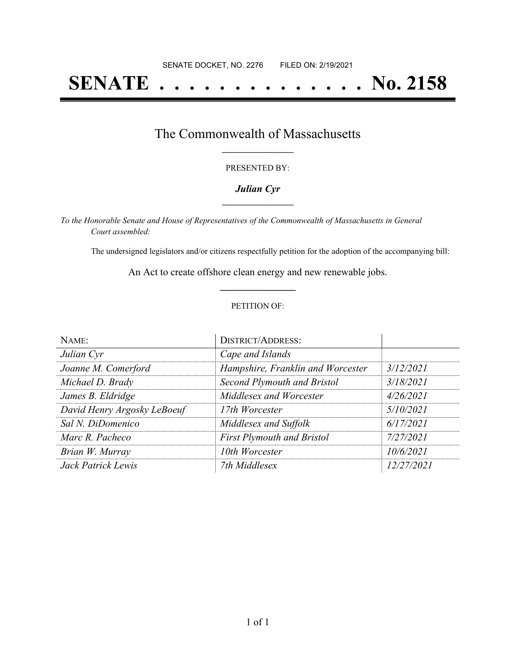# **SENATE . . . . . . . . . . . . . . No. 2158**

### The Commonwealth of Massachusetts **\_\_\_\_\_\_\_\_\_\_\_\_\_\_\_\_\_**

#### PRESENTED BY:

#### *Julian Cyr* **\_\_\_\_\_\_\_\_\_\_\_\_\_\_\_\_\_**

*To the Honorable Senate and House of Representatives of the Commonwealth of Massachusetts in General Court assembled:*

The undersigned legislators and/or citizens respectfully petition for the adoption of the accompanying bill:

An Act to create offshore clean energy and new renewable jobs. **\_\_\_\_\_\_\_\_\_\_\_\_\_\_\_**

#### PETITION OF:

| NAME:                       | <b>DISTRICT/ADDRESS:</b>          |            |
|-----------------------------|-----------------------------------|------------|
| Julian Cyr                  | Cape and Islands                  |            |
| Joanne M. Comerford         | Hampshire, Franklin and Worcester | 3/12/2021  |
| Michael D. Brady            | Second Plymouth and Bristol       | 3/18/2021  |
| James B. Eldridge           | Middlesex and Worcester           | 4/26/2021  |
| David Henry Argosky LeBoeuf | 17th Worcester                    | 5/10/2021  |
| Sal N. DiDomenico           | Middlesex and Suffolk             | 6/17/2021  |
| Marc R. Pacheco             | <b>First Plymouth and Bristol</b> | 7/27/2021  |
| Brian W. Murray             | 10th Worcester                    | 10/6/2021  |
| Jack Patrick Lewis          | 7th Middlesex                     | 12/27/2021 |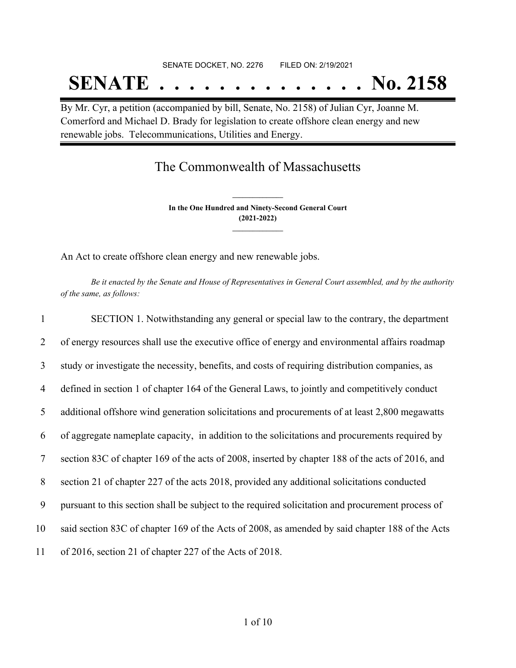## SENATE DOCKET, NO. 2276 FILED ON: 2/19/2021

# **SENATE . . . . . . . . . . . . . . No. 2158**

By Mr. Cyr, a petition (accompanied by bill, Senate, No. 2158) of Julian Cyr, Joanne M. Comerford and Michael D. Brady for legislation to create offshore clean energy and new renewable jobs. Telecommunications, Utilities and Energy.

### The Commonwealth of Massachusetts

**In the One Hundred and Ninety-Second General Court (2021-2022) \_\_\_\_\_\_\_\_\_\_\_\_\_\_\_**

**\_\_\_\_\_\_\_\_\_\_\_\_\_\_\_**

An Act to create offshore clean energy and new renewable jobs.

Be it enacted by the Senate and House of Representatives in General Court assembled, and by the authority *of the same, as follows:*

| $\mathbf{1}$   | SECTION 1. Notwithstanding any general or special law to the contrary, the department             |
|----------------|---------------------------------------------------------------------------------------------------|
| 2              | of energy resources shall use the executive office of energy and environmental affairs roadmap    |
| 3              | study or investigate the necessity, benefits, and costs of requiring distribution companies, as   |
| $\overline{4}$ | defined in section 1 of chapter 164 of the General Laws, to jointly and competitively conduct     |
| 5              | additional offshore wind generation solicitations and procurements of at least 2,800 megawatts    |
| 6              | of aggregate nameplate capacity, in addition to the solicitations and procurements required by    |
| 7              | section 83C of chapter 169 of the acts of 2008, inserted by chapter 188 of the acts of 2016, and  |
| 8              | section 21 of chapter 227 of the acts 2018, provided any additional solicitations conducted       |
| 9              | pursuant to this section shall be subject to the required solicitation and procurement process of |
| 10             | said section 83C of chapter 169 of the Acts of 2008, as amended by said chapter 188 of the Acts   |
| 11             | of 2016, section 21 of chapter 227 of the Acts of 2018.                                           |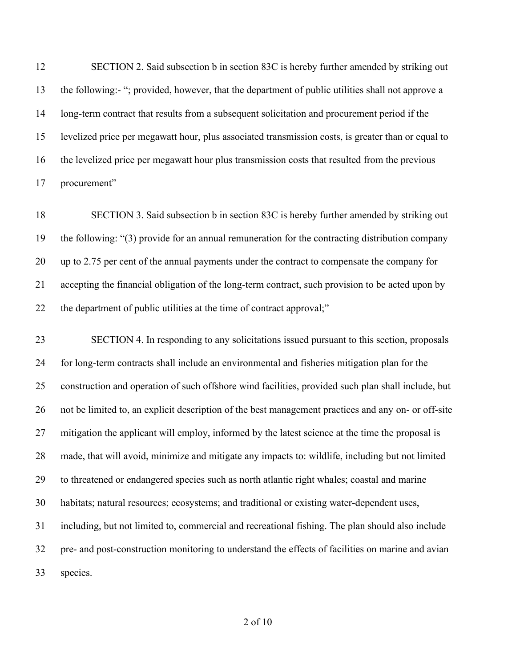12 SECTION 2. Said subsection b in section 83C is hereby further amended by striking out the following:- "; provided, however, that the department of public utilities shall not approve a long-term contract that results from a subsequent solicitation and procurement period if the levelized price per megawatt hour, plus associated transmission costs, is greater than or equal to the levelized price per megawatt hour plus transmission costs that resulted from the previous procurement"

 SECTION 3. Said subsection b in section 83C is hereby further amended by striking out the following: "(3) provide for an annual remuneration for the contracting distribution company up to 2.75 per cent of the annual payments under the contract to compensate the company for accepting the financial obligation of the long-term contract, such provision to be acted upon by the department of public utilities at the time of contract approval;"

 SECTION 4. In responding to any solicitations issued pursuant to this section, proposals for long-term contracts shall include an environmental and fisheries mitigation plan for the construction and operation of such offshore wind facilities, provided such plan shall include, but not be limited to, an explicit description of the best management practices and any on- or off-site mitigation the applicant will employ, informed by the latest science at the time the proposal is made, that will avoid, minimize and mitigate any impacts to: wildlife, including but not limited to threatened or endangered species such as north atlantic right whales; coastal and marine habitats; natural resources; ecosystems; and traditional or existing water-dependent uses, including, but not limited to, commercial and recreational fishing. The plan should also include pre- and post-construction monitoring to understand the effects of facilities on marine and avian species.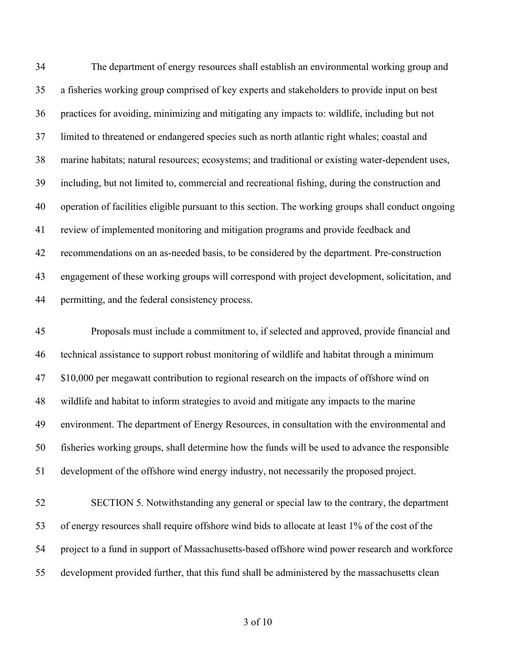The department of energy resources shall establish an environmental working group and a fisheries working group comprised of key experts and stakeholders to provide input on best practices for avoiding, minimizing and mitigating any impacts to: wildlife, including but not limited to threatened or endangered species such as north atlantic right whales; coastal and marine habitats; natural resources; ecosystems; and traditional or existing water-dependent uses, including, but not limited to, commercial and recreational fishing, during the construction and operation of facilities eligible pursuant to this section. The working groups shall conduct ongoing review of implemented monitoring and mitigation programs and provide feedback and recommendations on an as-needed basis, to be considered by the department. Pre-construction engagement of these working groups will correspond with project development, solicitation, and permitting, and the federal consistency process.

 Proposals must include a commitment to, if selected and approved, provide financial and technical assistance to support robust monitoring of wildlife and habitat through a minimum 47 \$10,000 per megawatt contribution to regional research on the impacts of offshore wind on wildlife and habitat to inform strategies to avoid and mitigate any impacts to the marine environment. The department of Energy Resources, in consultation with the environmental and fisheries working groups, shall determine how the funds will be used to advance the responsible development of the offshore wind energy industry, not necessarily the proposed project.

 SECTION 5. Notwithstanding any general or special law to the contrary, the department of energy resources shall require offshore wind bids to allocate at least 1% of the cost of the project to a fund in support of Massachusetts-based offshore wind power research and workforce development provided further, that this fund shall be administered by the massachusetts clean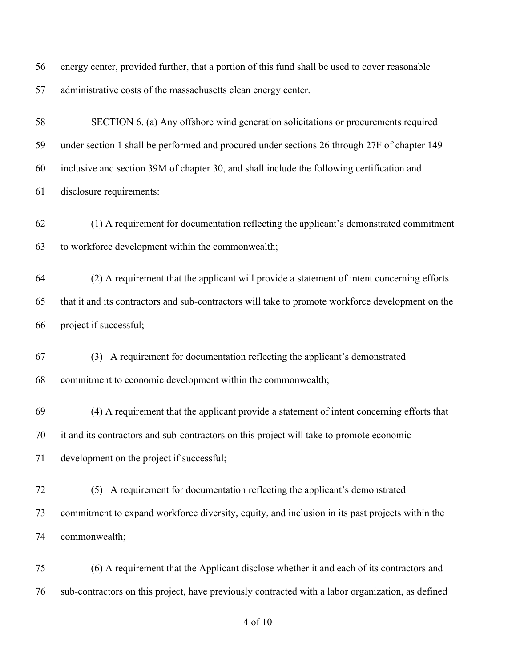energy center, provided further, that a portion of this fund shall be used to cover reasonable administrative costs of the massachusetts clean energy center.

 SECTION 6. (a) Any offshore wind generation solicitations or procurements required under section 1 shall be performed and procured under sections 26 through 27F of chapter 149 inclusive and section 39M of chapter 30, and shall include the following certification and disclosure requirements:

 (1) A requirement for documentation reflecting the applicant's demonstrated commitment to workforce development within the commonwealth;

 (2) A requirement that the applicant will provide a statement of intent concerning efforts that it and its contractors and sub-contractors will take to promote workforce development on the project if successful;

 (3) A requirement for documentation reflecting the applicant's demonstrated commitment to economic development within the commonwealth;

 (4) A requirement that the applicant provide a statement of intent concerning efforts that it and its contractors and sub-contractors on this project will take to promote economic development on the project if successful;

 (5) A requirement for documentation reflecting the applicant's demonstrated commitment to expand workforce diversity, equity, and inclusion in its past projects within the commonwealth;

 (6) A requirement that the Applicant disclose whether it and each of its contractors and sub-contractors on this project, have previously contracted with a labor organization, as defined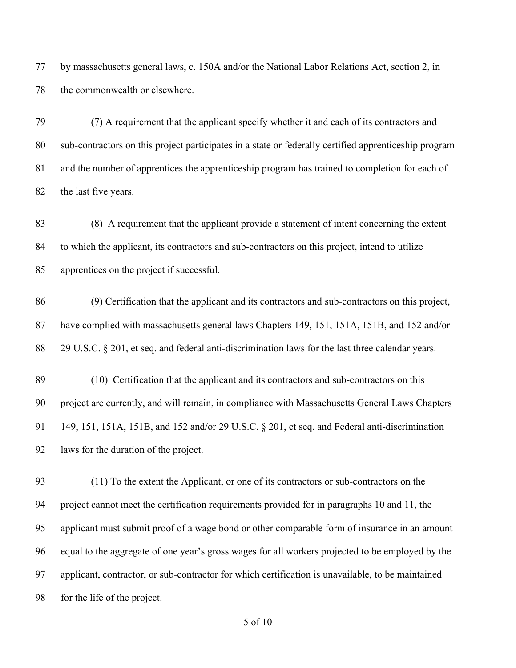by massachusetts general laws, c. 150A and/or the National Labor Relations Act, section 2, in the commonwealth or elsewhere.

 (7) A requirement that the applicant specify whether it and each of its contractors and sub-contractors on this project participates in a state or federally certified apprenticeship program and the number of apprentices the apprenticeship program has trained to completion for each of 82 the last five years.

 (8) A requirement that the applicant provide a statement of intent concerning the extent to which the applicant, its contractors and sub-contractors on this project, intend to utilize apprentices on the project if successful.

 (9) Certification that the applicant and its contractors and sub-contractors on this project, have complied with massachusetts general laws Chapters 149, 151, 151A, 151B, and 152 and/or 29 U.S.C. § 201, et seq. and federal anti-discrimination laws for the last three calendar years.

 (10) Certification that the applicant and its contractors and sub-contractors on this project are currently, and will remain, in compliance with Massachusetts General Laws Chapters 149, 151, 151A, 151B, and 152 and/or 29 U.S.C. § 201, et seq. and Federal anti-discrimination laws for the duration of the project.

 (11) To the extent the Applicant, or one of its contractors or sub-contractors on the project cannot meet the certification requirements provided for in paragraphs 10 and 11, the applicant must submit proof of a wage bond or other comparable form of insurance in an amount equal to the aggregate of one year's gross wages for all workers projected to be employed by the applicant, contractor, or sub-contractor for which certification is unavailable, to be maintained for the life of the project.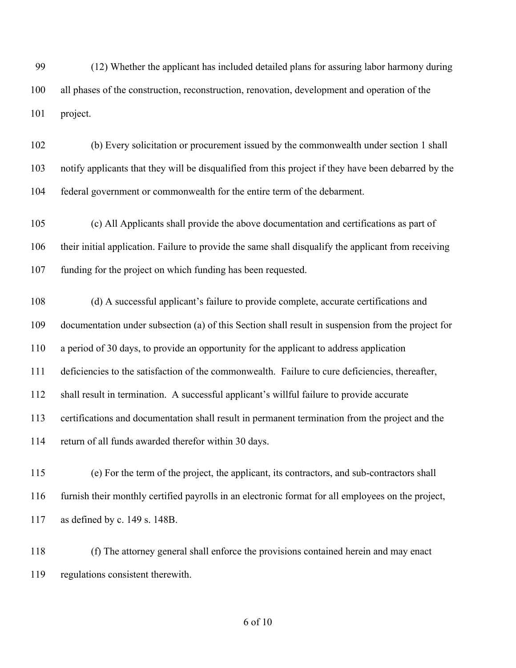(12) Whether the applicant has included detailed plans for assuring labor harmony during all phases of the construction, reconstruction, renovation, development and operation of the project.

 (b) Every solicitation or procurement issued by the commonwealth under section 1 shall notify applicants that they will be disqualified from this project if they have been debarred by the federal government or commonwealth for the entire term of the debarment.

 (c) All Applicants shall provide the above documentation and certifications as part of their initial application. Failure to provide the same shall disqualify the applicant from receiving funding for the project on which funding has been requested.

 (d) A successful applicant's failure to provide complete, accurate certifications and documentation under subsection (a) of this Section shall result in suspension from the project for a period of 30 days, to provide an opportunity for the applicant to address application deficiencies to the satisfaction of the commonwealth. Failure to cure deficiencies, thereafter, shall result in termination. A successful applicant's willful failure to provide accurate certifications and documentation shall result in permanent termination from the project and the return of all funds awarded therefor within 30 days.

 (e) For the term of the project, the applicant, its contractors, and sub-contractors shall furnish their monthly certified payrolls in an electronic format for all employees on the project, as defined by c. 149 s. 148B.

 (f) The attorney general shall enforce the provisions contained herein and may enact regulations consistent therewith.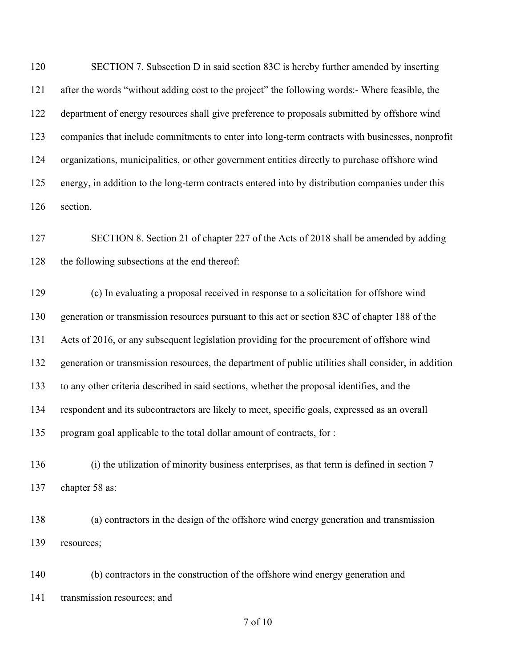120 SECTION 7. Subsection D in said section 83C is hereby further amended by inserting after the words "without adding cost to the project" the following words:- Where feasible, the department of energy resources shall give preference to proposals submitted by offshore wind companies that include commitments to enter into long-term contracts with businesses, nonprofit organizations, municipalities, or other government entities directly to purchase offshore wind energy, in addition to the long-term contracts entered into by distribution companies under this section.

 SECTION 8. Section 21 of chapter 227 of the Acts of 2018 shall be amended by adding the following subsections at the end thereof:

 (c) In evaluating a proposal received in response to a solicitation for offshore wind generation or transmission resources pursuant to this act or section 83C of chapter 188 of the Acts of 2016, or any subsequent legislation providing for the procurement of offshore wind generation or transmission resources, the department of public utilities shall consider, in addition to any other criteria described in said sections, whether the proposal identifies, and the respondent and its subcontractors are likely to meet, specific goals, expressed as an overall program goal applicable to the total dollar amount of contracts, for :

 (i) the utilization of minority business enterprises, as that term is defined in section 7 chapter 58 as:

 (a) contractors in the design of the offshore wind energy generation and transmission resources;

 (b) contractors in the construction of the offshore wind energy generation and transmission resources; and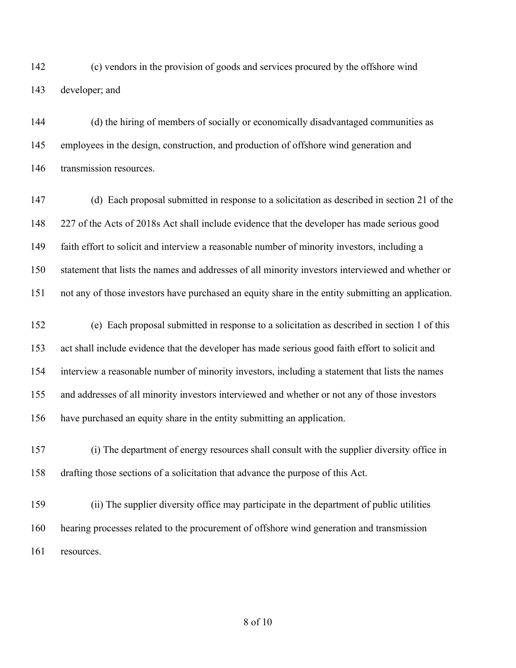(c) vendors in the provision of goods and services procured by the offshore wind developer; and

 (d) the hiring of members of socially or economically disadvantaged communities as employees in the design, construction, and production of offshore wind generation and transmission resources.

 (d) Each proposal submitted in response to a solicitation as described in section 21 of the 227 of the Acts of 2018s Act shall include evidence that the developer has made serious good faith effort to solicit and interview a reasonable number of minority investors, including a statement that lists the names and addresses of all minority investors interviewed and whether or not any of those investors have purchased an equity share in the entity submitting an application.

 (e) Each proposal submitted in response to a solicitation as described in section 1 of this act shall include evidence that the developer has made serious good faith effort to solicit and interview a reasonable number of minority investors, including a statement that lists the names and addresses of all minority investors interviewed and whether or not any of those investors have purchased an equity share in the entity submitting an application.

 (i) The department of energy resources shall consult with the supplier diversity office in drafting those sections of a solicitation that advance the purpose of this Act.

 (ii) The supplier diversity office may participate in the department of public utilities hearing processes related to the procurement of offshore wind generation and transmission resources.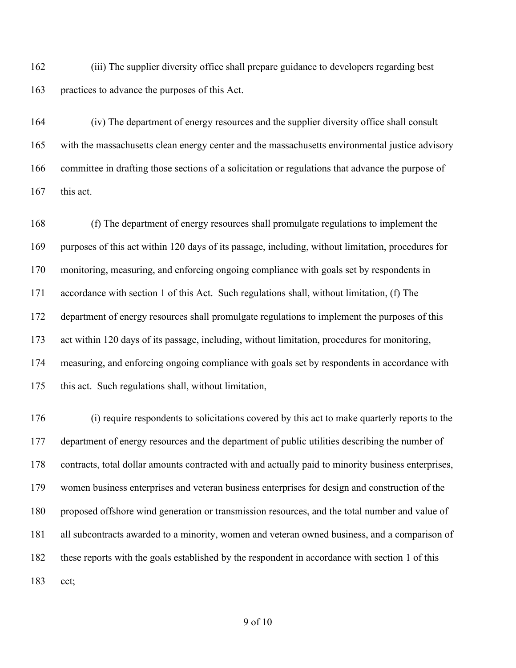(iii) The supplier diversity office shall prepare guidance to developers regarding best practices to advance the purposes of this Act.

 (iv) The department of energy resources and the supplier diversity office shall consult with the massachusetts clean energy center and the massachusetts environmental justice advisory committee in drafting those sections of a solicitation or regulations that advance the purpose of this act.

 (f) The department of energy resources shall promulgate regulations to implement the purposes of this act within 120 days of its passage, including, without limitation, procedures for monitoring, measuring, and enforcing ongoing compliance with goals set by respondents in accordance with section 1 of this Act. Such regulations shall, without limitation, (f) The department of energy resources shall promulgate regulations to implement the purposes of this act within 120 days of its passage, including, without limitation, procedures for monitoring, measuring, and enforcing ongoing compliance with goals set by respondents in accordance with this act. Such regulations shall, without limitation,

 (i) require respondents to solicitations covered by this act to make quarterly reports to the department of energy resources and the department of public utilities describing the number of contracts, total dollar amounts contracted with and actually paid to minority business enterprises, women business enterprises and veteran business enterprises for design and construction of the proposed offshore wind generation or transmission resources, and the total number and value of all subcontracts awarded to a minority, women and veteran owned business, and a comparison of these reports with the goals established by the respondent in accordance with section 1 of this cct;